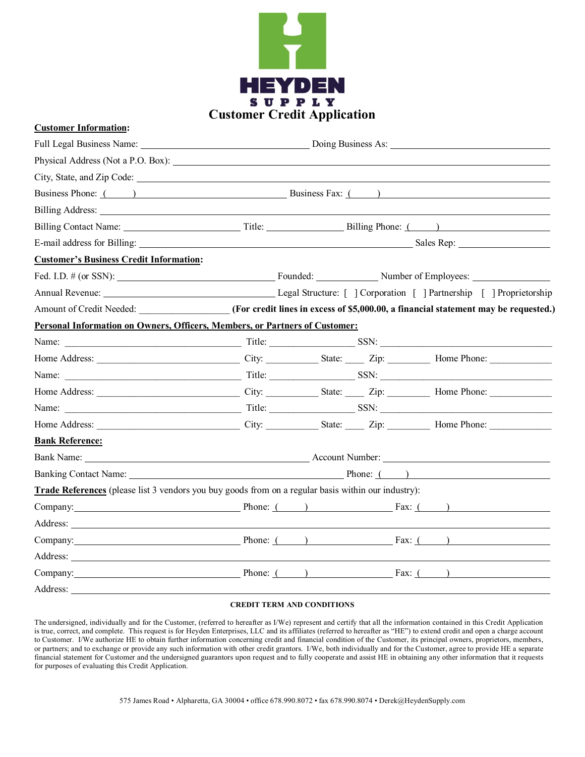

## **Customer Information:**

|                                                                                                              | Business Phone: ( ) Business Fax: ( )                                                                                                                                                                                               |  |  |  |
|--------------------------------------------------------------------------------------------------------------|-------------------------------------------------------------------------------------------------------------------------------------------------------------------------------------------------------------------------------------|--|--|--|
|                                                                                                              |                                                                                                                                                                                                                                     |  |  |  |
|                                                                                                              |                                                                                                                                                                                                                                     |  |  |  |
|                                                                                                              |                                                                                                                                                                                                                                     |  |  |  |
| <b>Customer's Business Credit Information:</b>                                                               |                                                                                                                                                                                                                                     |  |  |  |
| Founded: Number of Employees: Number of Employees:                                                           |                                                                                                                                                                                                                                     |  |  |  |
|                                                                                                              |                                                                                                                                                                                                                                     |  |  |  |
| Amount of Credit Needed: (For credit lines in excess of \$5,000.00, a financial statement may be requested.) |                                                                                                                                                                                                                                     |  |  |  |
| Personal Information on Owners, Officers, Members, or Partners of Customer:                                  |                                                                                                                                                                                                                                     |  |  |  |
|                                                                                                              |                                                                                                                                                                                                                                     |  |  |  |
|                                                                                                              |                                                                                                                                                                                                                                     |  |  |  |
|                                                                                                              |                                                                                                                                                                                                                                     |  |  |  |
|                                                                                                              |                                                                                                                                                                                                                                     |  |  |  |
|                                                                                                              |                                                                                                                                                                                                                                     |  |  |  |
|                                                                                                              |                                                                                                                                                                                                                                     |  |  |  |
| <b>Bank Reference:</b>                                                                                       |                                                                                                                                                                                                                                     |  |  |  |
|                                                                                                              | Bank Name: <u>New York: Account Number:</u> Account Number: New York: New York: New York: New York: New York: New York: New York: New York: New York: New York: New York: New York: New York: New York: New York: New York: New Yor |  |  |  |
|                                                                                                              | Banking Contact Name: 1990 Manual Phone: 1990 Phone: 1990 Phone: 1990 Phone: 1990 Phone: 1990 Phone: 1990 Phone: 1990 Phone: 1990 Phone: 1990 Phone: 1990 Phone: 1990 Phone: 1990 Phone: 1990 Phone: 1990 Phone: 1990 Phone: 1      |  |  |  |
| Trade References (please list 3 vendors you buy goods from on a regular basis within our industry):          |                                                                                                                                                                                                                                     |  |  |  |
| Company: $\qquad \qquad \qquad$ Phone: $($ ) $\qquad \qquad$ Fax: $($ )                                      |                                                                                                                                                                                                                                     |  |  |  |
|                                                                                                              |                                                                                                                                                                                                                                     |  |  |  |
| Company: <u>Company:</u> Phone: () Fax: () Fax: ()                                                           |                                                                                                                                                                                                                                     |  |  |  |
|                                                                                                              |                                                                                                                                                                                                                                     |  |  |  |
| Company: Phone: ( ) Fax: ( )                                                                                 |                                                                                                                                                                                                                                     |  |  |  |
| Address:                                                                                                     |                                                                                                                                                                                                                                     |  |  |  |

## **CREDIT TERM AND CONDITIONS**

The undersigned, individually and for the Customer, (referred to hereafter as I/We) represent and certify that all the information contained in this Credit Application is true, correct, and complete. This request is for Heyden Enterprises, LLC and its affiliates (referred to hereafter as "HE") to extend credit and open a charge account to Customer. I/We authorize HE to obtain further information concerning credit and financial condition of the Customer, its principal owners, proprietors, members, or partners; and to exchange or provide any such information with other credit grantors. I/We, both individually and for the Customer, agree to provide HE a separate financial statement for Customer and the undersigned guarantors upon request and to fully cooperate and assist HE in obtaining any other information that it requests for purposes of evaluating this Credit Application.